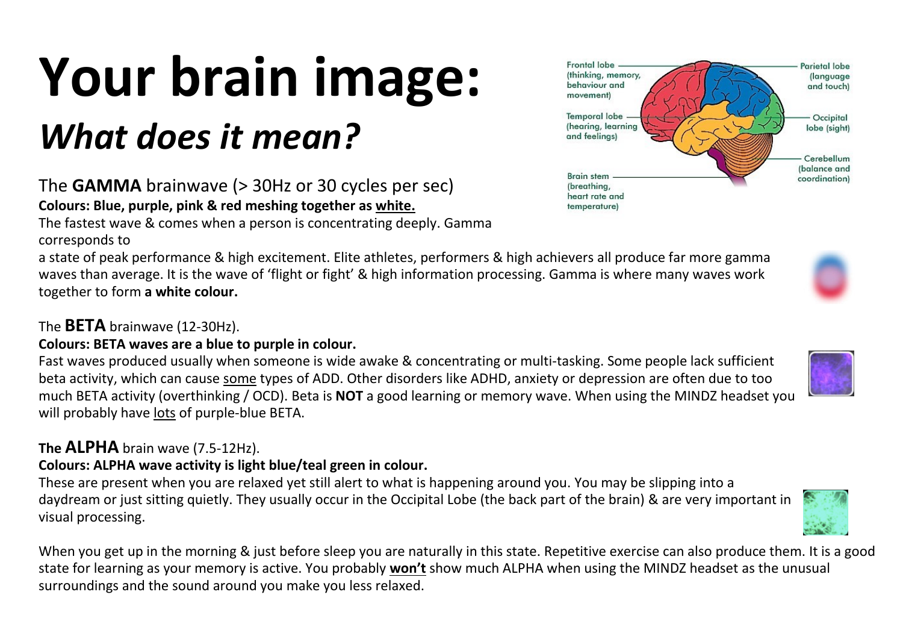## **Your brain image:**

### The **GAMMA** brainwave (> 30Hz or 30 cycles per sec) **Colours: Blue, purple, pink & red meshing together as white.**

The fastest wave & comes when a person is concentrating deeply. Gamma corresponds to

a state of peak performance & high excitement. Elite athletes, performers & high achievers all produce far more gamma waves than average. It is the wave of 'flight or fight' & high information processing. Gamma is where many waves work together to form **a white colour.**

### The **BETA** brainwave (12-30Hz).

### **Colours: BETA waves are a blue to purple in colour.**

Fast waves produced usually when someone is wide awake & concentrating or multi-tasking. Some people lack sufficient beta activity, which can cause some types of ADD. Other disorders like ADHD, anxiety or depression are often due to too much BETA activity (overthinking / OCD). Beta is **NOT** a good learning or memory wave. When using the MINDZ headset you will probably have lots of purple-blue BETA.

### **The ALPHA** brain wave (7.5-12Hz).

### **Colours: ALPHA wave activity is light blue/teal green in colour.**

These are present when you are relaxed yet still alert to what is happening around you. You may be slipping into a daydream or just sitting quietly. They usually occur in the Occipital Lobe (the back part of the brain) & are very important in visual processing.

When you get up in the morning & just before sleep you are naturally in this state. Repetitive exercise can also produce them. It is a good state for learning as your memory is active. You probably **won't** show much ALPHA when using the MINDZ headset as the unusual surroundings and the sound around you make you less relaxed.

# *What does it mean?*

Frontal lobe Parietal lobe (thinking, memory, *(language)* behaviour and and touch) movement) **Temporal** lobe Occipital (hearing, learning lobe (sight) and feelings) Cerebellum (balance and **Brain stem** coordination) (breathing, heart rate and temperature)